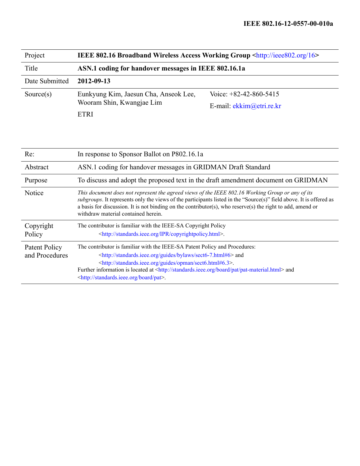| Project        | <b>IEEE 802.16 Broadband Wireless Access Working Group <http: 16="" ieee802.org=""></http:></b> |                            |  |  |  |
|----------------|-------------------------------------------------------------------------------------------------|----------------------------|--|--|--|
| Title          | ASN.1 coding for handover messages in IEEE 802.16.1a                                            |                            |  |  |  |
| Date Submitted | 2012-09-13                                                                                      |                            |  |  |  |
| Source $(s)$   | Eunkyung Kim, Jaesun Cha, Anseok Lee,                                                           | Voice: $+82-42-860-5415$   |  |  |  |
|                | Wooram Shin, Kwangjae Lim                                                                       | E-mail: $ekkim@etri.re.kr$ |  |  |  |
|                | <b>ETRI</b>                                                                                     |                            |  |  |  |

| Re:                             | In response to Sponsor Ballot on P802.16.1a                                                                                                                                                                                                                                                                                                                                                                                   |  |
|---------------------------------|-------------------------------------------------------------------------------------------------------------------------------------------------------------------------------------------------------------------------------------------------------------------------------------------------------------------------------------------------------------------------------------------------------------------------------|--|
| Abstract                        | ASN.1 coding for handover messages in GRIDMAN Draft Standard                                                                                                                                                                                                                                                                                                                                                                  |  |
| Purpose                         | To discuss and adopt the proposed text in the draft amendment document on GRIDMAN                                                                                                                                                                                                                                                                                                                                             |  |
| Notice                          | This document does not represent the agreed views of the IEEE 802.16 Working Group or any of its<br>subgroups. It represents only the views of the participants listed in the "Source(s)" field above. It is offered as<br>a basis for discussion. It is not binding on the contributor(s), who reserve(s) the right to add, amend or<br>withdraw material contained herein.                                                  |  |
| Copyright<br>Policy             | The contributor is familiar with the IEEE-SA Copyright Policy<br><http: copyrightpolicy.html="" ipr="" standards.ieee.org="">.</http:>                                                                                                                                                                                                                                                                                        |  |
| Patent Policy<br>and Procedures | The contributor is familiar with the IEEE-SA Patent Policy and Procedures:<br><http: bylaws="" guides="" sect6-7.html#6="" standards.ieee.org=""> and<br/><http: guides="" opman="" sect6.html#6.3="" standards.ieee.org="">.<br/>Further information is located at <http: board="" pat="" pat-material.html="" standards.ieee.org=""> and<br/><http: board="" pat="" standards.ieee.org="">.</http:></http:></http:></http:> |  |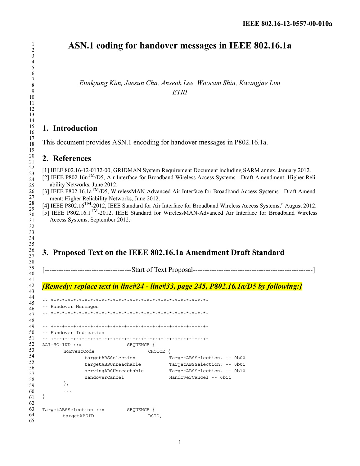# **ASN.1 coding for handover messages in IEEE 802.16.1a**

*Eunkyung Kim, Jaesun Cha, Anseok Lee, Wooram Shin, Kwangjae Lim ETRI*

## **1. Introduction**

This document provides ASN.1 encoding for handover messages in P802.16.1a.

## **2. References**

[1] IEEE 802.16-12-0132-00, GRIDMAN System Requirement Document including SARM annex, January 2012.

[2] IEEE P802.16nTM/D5, Air Interface for Broadband Wireless Access Systems - Draft Amendment: Higher Reliability Networks, June 2012.

- [3] IEEE P802.16.1a<sup>TM</sup>/D5, WirelessMAN-Advanced Air Interface for Broadband Access Systems Draft Amendment: Higher Reliability Networks, June 2012.
- [4] IEEE P802.16TM-2012, IEEE Standard for Air Interface for Broadband Wireless Access Systems," August 2012.

[5] IEEE P802.16.1TM-2012, IEEE Standard for WirelessMAN-Advanced Air Interface for Broadband Wireless Access Systems, September 2012.

## **3. Proposed Text on the IEEE 802.16.1a Amendment Draft Standard**

[-------------------------------------Start of Text Proposal---------------------------------------------------]

## *[Remedy: replace text in line#24 - line#33, page 245, P802.16.1a/D5 by following:]*

| -- Handover Messages   |                       |            |        |                             |
|------------------------|-----------------------|------------|--------|-----------------------------|
|                        |                       |            |        |                             |
|                        |                       |            |        |                             |
| -- Handover Indication |                       |            |        |                             |
|                        |                       |            |        |                             |
| $AAI-HO-TND ::=$       |                       | SEOUENCE { |        |                             |
|                        | hoEventCode           |            | CHOICE |                             |
|                        | targetABSSelection    |            |        | TargetABSSelection, -- 0b00 |
|                        | targetABSUnreachable  |            |        | TargetABSSelection, -- 0b01 |
|                        | servingABSUnreachable |            |        | TargetABSSelection, -- 0b10 |
|                        | handoverCancel        |            |        | $HandoverCancel -- 0b11$    |
| $\}$ ,                 |                       |            |        |                             |
| $\cdots$               |                       |            |        |                             |
|                        |                       |            |        |                             |
|                        |                       |            |        |                             |
| TargetABSSelection ::= |                       | SEOUENCE   |        |                             |
|                        | targetABSID           |            | BSID.  |                             |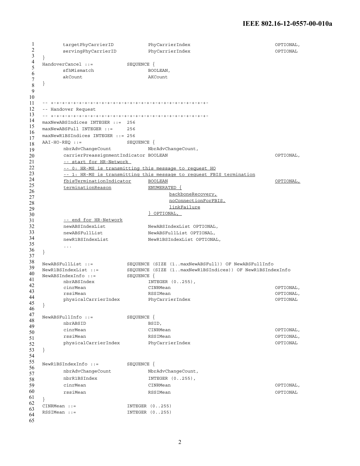#### **IEEE 802.16-12-0557-00-010a**

```
1
2
3
4
5
6
7
8
9
10
11
12
13
14
15
16
17
18
19
20
21
22
23
24
25
26
27
28
29
30
31
32
33
34
35
36
37
38
39
40
41
42
43
44
45
46
47
48
49
50
51
52
53
54
55
56
57
58
59
60
61
62
63
64
65
        targetPhyCarrierID PhyCarrierIndex OPTIONAL, 
        servingPhyCarrierID PhyCarrierIndex OPTIONAL
   } 
  HandoverCancel ::= SEQUENCE {
       sfhMismatch BOOLEAN,
        akCount AKCount
   } 
   -- +-+-+-+-+-+-+-+-+-+-+-+-+-+-+-+-+-+-+-+-+-+-+-+-+-+-+-+-
   -- Handover Request
   -- +-+-+-+-+-+-+-+-+-+-+-+-+-+-+-+-+-+-+-+-+-+-+-+-+-+-+-+-
   maxNewABSIndices INTEGER ::= 256 
   maxNewABSFull INTEGER ::= 256
  maxNewR1BSIndices INTEGER ::= 256 
  AAI-HO-REQ ::= SEQUENCE {
        nbrAdvChangeCount NbrAdvChangeCount,
        carrierPreassignmentIndicator BOOLEAN OPTIONAL, 
        -- start for HR-Network 
        -- 0: HR-MS is transmitting this message to request HO
        -- 1: HR-MS is transmitting this message to request FBIS termination
        fbisTerminationIndicator BOOLEAN OPTIONAL,
        terminationReason ENUMERATED {
                                  backboneRecovery,
                                  noConnectionForFBIS,
                                  linkFailure
                             } OPTIONAL, 
        -- end for HR-Network
        newABSIndexList NewABSIndexList OPTIONAL, 
        newABSFullList NewABSFullList OPTIONAL,
        newR1BSIndexList NewR1BSIndexList OPTIONAL, 
        ...
   } 
   NewABSFullList ::= SEQUENCE (SIZE (1..maxNewABSFull)) OF NewABSFullInfo
  NewR1BSIndexList ::= SEQUENCE (SIZE (1..maxNewR1BSIndices)) OF NewR1BSIndexInfo
  NewABSIndexInfo ::= SEQUENCE {
       nbrABSIndex INTEGER (0..255),
        cinrMean CINRMean OPTIONAL,
        rssiMean RSSIMean OPTIONAL,
        physicalCarrierIndex PhyCarrierIndex OPTIONAL
   }
  NewABSFullInfo ::= SEQUENCE { 
        nbrABSID BSID,
        cinrMean CINRMean OPTIONAL, 
        rssiMean RSSIMean OPTIONAL,
        physicalCarrierIndex PhyCarrierIndex Phychomes Phycesis operional
  }
  NewR1BSIndexInfo ::= SEQUENCE { 
        nbrAdvChangeCount NbrAdvChangeCount,
        nbrR1BSIndex INTEGER (0..255),
        cinrMean CINRMean OPTIONAL, 
        rssiMean RSSIMean OPTIONAL
   }
  CINRMean ::= INTEGER (0..255) 
   RSSIMean ::= INTEGER (0..255)
```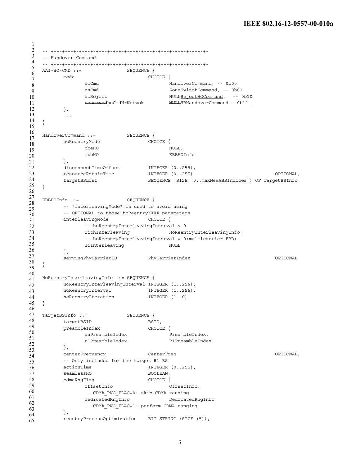```
1
2
3
4
5
6
7
8
9
10
11
12
13
14
15
16
17
18
19
20
21
22
23
24
25
26
27
28
29
30
31
32
33
34
35
36
37
38
39
40
41
42
43
44
45
46
47
48
49
50
51
52
53
54
55
56
57
58
59
60
61
62
63
64
65
   -- +-+-+-+-+-+-+-+-+-+-+-+-+-+-+-+-+-+-+-+-+-+-+-+-+-+-+-+-
   -- Handover Command
   -- +-+-+-+-+-+-+-+-+-+-+-+-+-+-+-+-+-+-+-+-+-+-+-+-+-+-+-+-
   AAI-HO-CMD ::= SEQUENCE { 
        mode CHOICE { 
              hoCmd HandoverCommand, -- 0b00 
               zsCmd ZoneSwitchCommand, -- 0b01 
               hoReject NULLRejectHOCommand, -- 0b10
               reservedhoCmdHrNetwok NULLHRHandoverCommend-- 0b11 
         }, 
         ...
   } 
   HandoverCommand ::= SEQUENCE { 
       hoReentryMode CHOICE {
             bbeHO NULL,
               ebbHO EBBHOInfo 
        }, 
        disconnectTimeOffset INTEGER (0..255),
        resourceRetainTime INTEGER (0..255) OPTIONAL, 
        targetBSList SEQUENCE (SIZE (0..maxNewABSIndices)) OF TargetBSInfo
   } 
  EBBHOInfo ::= SEQUENCE {
    -- "interleavingMode" is used to avoid using 
         -- OPTIONAL to those hoReentryXXXX parameters 
         interleavingMode CHOICE {
              -- hoReentryInterleavingInterval > 0 
               withInterleaving HoReentryInterleavingInfo,
               -- hoReentryInterleavingInterval = 0(multicarrier EBB) 
               noInterleaving NULL
         }, 
         servingPhyCarrierID PhyCarrierIndex OPTIONAL
   } 
   HoReentryInterleavingInfo ::= SEQUENCE { 
        hoReentryInterleavingInterval INTEGER (1..256), 
         hoReentryInterval INTEGER (1..256),
         hoReentryIteration INTEGER (1..8)
  }
   TargetBSInfo ::= SEQUENCE {
       targetBSID BSID,
         preambleIndex CHOICE {
             saPreambleIndex PreambleIndex,
              r1PreambleIndex R1PreambleIndex 
         }, 
        centerFrequency CenterFreq OPTIONAL, 
         -- Only included for the target R1 BS 
        actionTime INTEGER (0..255),
        seamlessHO BOOLEAN,
        cdmaRngFlag CHOICE { 
             offsetInfo OffsetInfo, 
               -- CDMA_RNG_FLAG=0: skip CDMA ranging 
               dedicatedRngInfo DedicatedRngInfo
               -- CDMA_RNG_FLAG=1: perform CDMA ranging 
         }, 
         reentryProcessOptimization BIT STRING (SIZE (5)),
```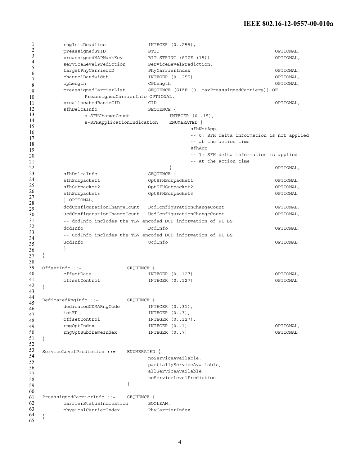1 2 3 4 5 6 7 8 9 10 11 12 13 14 15 16 17 18 19 20 21 22 23 24 25 26 27 28 29 30 31 32 33 34 35 36 37 38 39 40 41 42 43 44 45 46 47 48 49 50 51 52 53 54 55 56 57 58 59 60 61 62 63 64 65 rngInitDeadline INTEGER (0..255), preassignedSTID STID OPTIONAL, preassignedMAPMaskKey BIT STRING (SIZE (15)) OPTIONAL, serviceLevelPrediction ServiceLevelPrediction, targetPhyCarrierID PhyCarrierIndex OPTIONAL, channelBandwidth INTEGER (0..255) OPTIONAL, cpLength CPLength OPTIONAL, preassignedCarrierList SEQUENCE (SIZE (0..maxPreassignedCarriers)) OF PreassignedCarrierInfo OPTIONAL, preallocatedBasicCID CID OPTIONAL, sfhDeltaInfo SEQUENCE { s-SFHChangeCount INTEGER  $(0..15)$ , s-SFHApplicationIndication ENUMERATED { sfhNotApp, -- 0: SFH delta information is not applied -- at the action time sfhApp -- 1: SFH delta information is applied -- at the action time } OPTIONAL, sfhDeltaInfo SEQUENCE { sfhSubpacket1 OptSFHSubpacket1 OPTIONAL, sfhSubpacket2 OptSFHSubpacket2 OPTIONAL, sfhSubpacket3 OptSFHSubpacket3 OPTIONAL } OPTIONAL, dcdConfigurationChangeCount DcdConfigurationChangeCount OPTIONAL, ucdConfigurationChangeCount UcdConfigurationChangeCount OPTIONAL, -- dcdInfo includes the TLV encoded DCD information of R1 BS dcdInfo DcdInfo OPTIONAL, -- ucdInfo includes the TLV encoded DCD information of R1 BS ucdInfo UcdInfo OPTIONAL } } OffsetInfo ::= SEQUENCE { offsetData INTEGER (0..127) OPTIONAL, offsetControl INTEGER (0..127) OPTIONAL } DedicatedRngInfo ::= SEQUENCE { dedicatedCDMARngCode INTEGER  $(0..31)$ , iotFP INTEGER  $(0..3)$ , offsetControl INTEGER  $(0..127)$ , rngOptIndex INTEGER (0..1) OPTIONAL, rngOptSubframeIndex INTEGER (0..7) OPTIONAL } ServiceLevelPrediction ::= ENUMERATED { noServiceAvailable, partiallyServiceAvailable, allServiceAvailable, noServiceLevelPrediction } PreassignedCarrierInfo ::= SEQUENCE { carrierStatusIndication BOOLEAN, physicalCarrierIndex PhyCarrierIndex }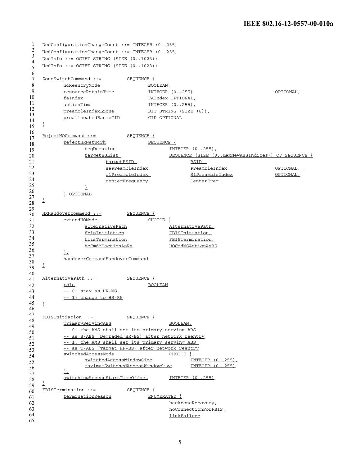```
1
2
3
4
5
6
7
8
9
10
11
12
13
14
15
16
17
18
19
20
21
22
23
24
25
26
27
28
29
30
31
32
33
34
35
36
37
38
39
40
41
42
43
44
45
46
47
48
49
50
51
52
53
54
55
56
57
58
59
60
61
62
63
64
65
   DcdConfigurationChangeCount ::= INTEGER (0..255)
   UcdConfigurationChangeCount ::= INTEGER (0..255)
   DcdInfo ::= OCTET STRING (SIZE (0..1023))
   UcdInfo ::= OCTET STRING (SIZE (0..1023)) 
   ZoneSwitchCommand ::= SEQUENCE { 
         hoReentryMode BOOLEAN,
         resourceRetainTime INTEGER (0..255) OPTIONAL, 
         faIndex FAIndex OPTIONAL, 
         actionTime INTEGER (0..255),
         preambleIndexLZone BIT STRING (SIZE (8)),
         preallocatedBasicCID CID OPTIONAL
   } 
   RejectHOCommand ::= SEQUENCE {
          rejectHRNetwork SEQUENCE {
                reqDuration INTEGER (0..255),
                targetBSList SEQUENCE (SIZE (0..maxNewABSIndices)) OF SEQUENCE
                      targetBSID BSID,
                      saPreambleIndex PreambleIndex OPTIONAL, 
                      r1PreambleIndex R1PreambleIndex OPTIONAL,
                      centerFrequency CenterFreq 
                }
          } OPTIONAL
   }
   HRHandoverCommend ::= SEQUENCE {
          extendHOMode CHOICE {
                alternativePath AlternativePath,
                fbisInitiation FBISInitiation,
                fbisTermination FBISTermination,
                hoCmdMSactionAsRs HOCmdMSActionAsRS
          \frac{1}{2}handoverCommandHandoverCommand
   }
   AlternativePath ::= SEQUENCE {
         role BOOLEAN
          -- 0: stay as HR-MS
          -- 1: change to HR-RS
   }
   FBISInitiation ::= SEQUENCE {
         primaryServingABS BOOLEAN,
          -- 0: the AMS shall set its primary serving ABS 
          -- as S-ABS (Degraded HR-BS) after network reentry
          -- 1: the AMS shall set its primary serving ABS
          -- as T-ABS (Target HR-BS) after network reentry
          switchedAccessMode CHOICE {
                switchedAccessWindowSize 1NTEGER (0..255)<br>maximumSwitchedAccessWindowSize 1NTEGER (0..255)
                maximumSwitchedAccessWindowSize},
          switchingAccessStartTimeOffset INTEGER (0..255)
   }
   FBISTermination ::= SEQUENCE {
         terminationReason ENUMERATED {
                                        backboneRecovery,
                                         noConnectionForFBIS,
                                         linkFailure
```